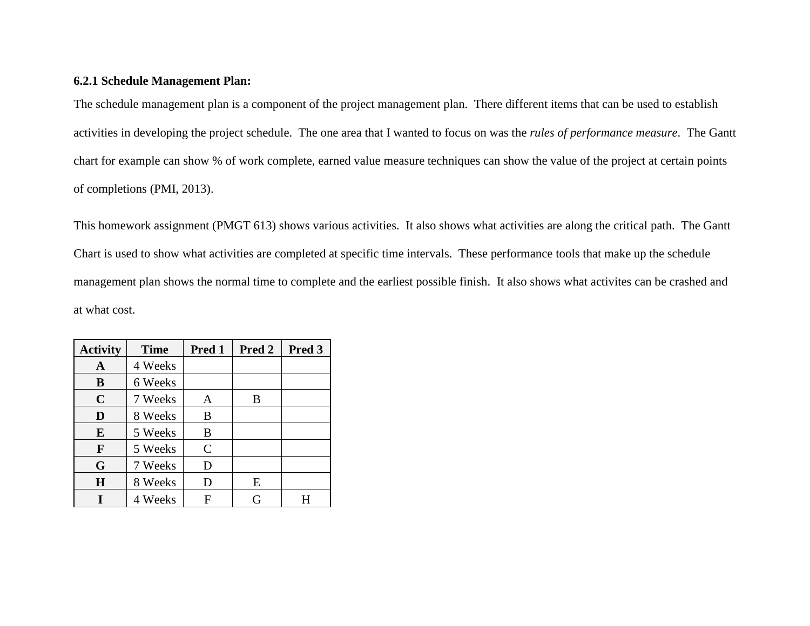## **6.2.1 Schedule Management Plan:**

The schedule management plan is a component of the project management plan. There different items that can be used to establish activities in developing the project schedule. The one area that I wanted to focus on was the *rules of performance measure*. The Gantt chart for example can show % of work complete, earned value measure techniques can show the value of the project at certain points of completions (PMI, 2013).

This homework assignment (PMGT 613) shows various activities. It also shows what activities are along the critical path. The Gantt Chart is used to show what activities are completed at specific time intervals. These performance tools that make up the schedule management plan shows the normal time to complete and the earliest possible finish. It also shows what activites can be crashed and at what cost.

| <b>Activity</b> | <b>Time</b> | Pred 1       | Pred 2 | Pred 3 |
|-----------------|-------------|--------------|--------|--------|
| A               | 4 Weeks     |              |        |        |
| B               | 6 Weeks     |              |        |        |
| $\mathbf C$     | 7 Weeks     | A            | B      |        |
| D               | 8 Weeks     | B            |        |        |
| E               | 5 Weeks     | B            |        |        |
| F               | 5 Weeks     | $\mathsf{C}$ |        |        |
| G               | 7 Weeks     | D            |        |        |
| $\mathbf H$     | 8 Weeks     | D            | E      |        |
|                 | 4 Weeks     | F            |        |        |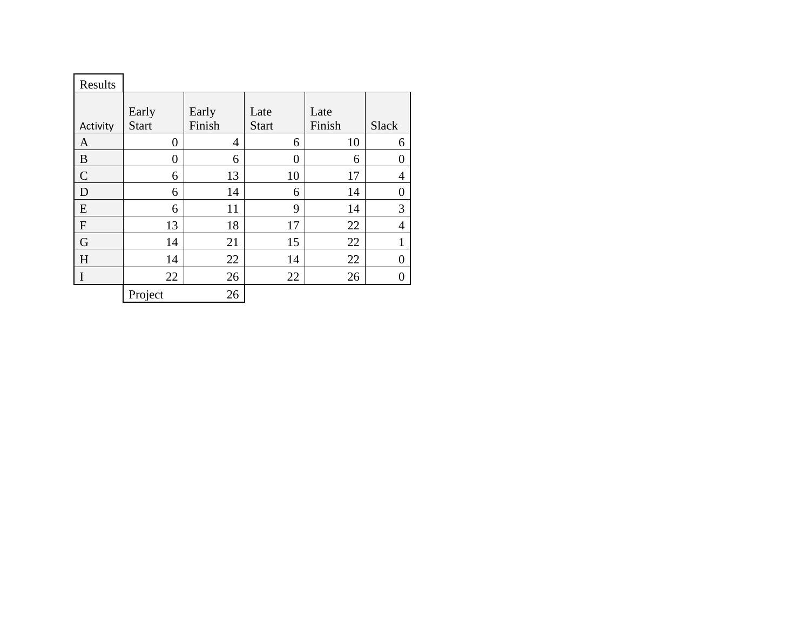| Results        |                |                |                |        |                  |
|----------------|----------------|----------------|----------------|--------|------------------|
|                |                |                |                |        |                  |
|                | Early          | Early          | Late           | Late   |                  |
| Activity       | <b>Start</b>   | Finish         | <b>Start</b>   | Finish | <b>Slack</b>     |
| $\mathbf{A}$   | $\overline{0}$ | $\overline{4}$ | 6              | 10     | 6                |
| B              | $\overline{0}$ | 6              | $\overline{0}$ | 6      | $\boldsymbol{0}$ |
| $\overline{C}$ | 6              | 13             | 10             | 17     | $\overline{4}$   |
| $\overline{D}$ | 6              | 14             | 6              | 14     | $\boldsymbol{0}$ |
| E              | 6              | 11             | 9              | 14     | 3                |
| $\overline{F}$ | 13             | 18             | 17             | 22     | $\overline{4}$   |
| G              | 14             | 21             | 15             | 22     | $\mathbf{1}$     |
| H              | 14             | 22             | 14             | 22     | $\boldsymbol{0}$ |
| $\vert$ I      | 22             | 26             | 22             | 26     | $\boldsymbol{0}$ |
|                | Project        | 26             |                |        |                  |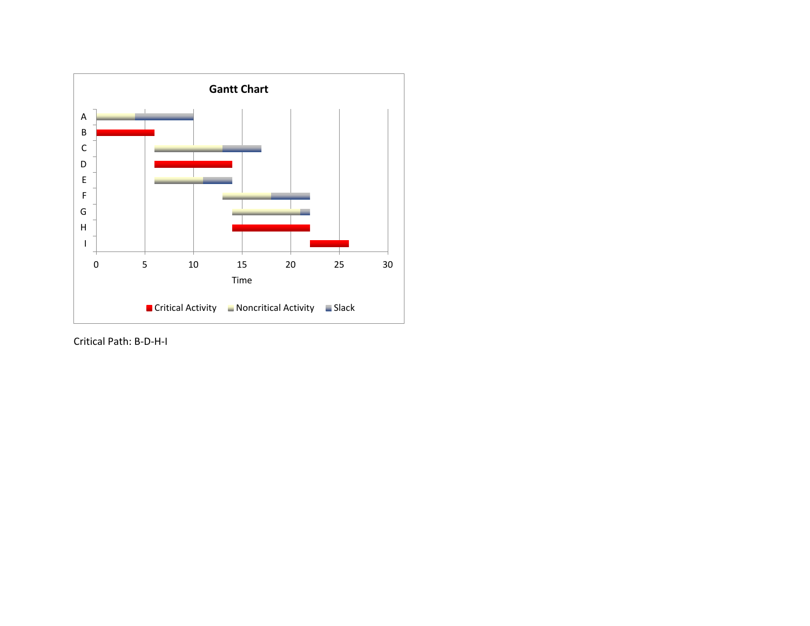

Critical Path: B-D-H-I